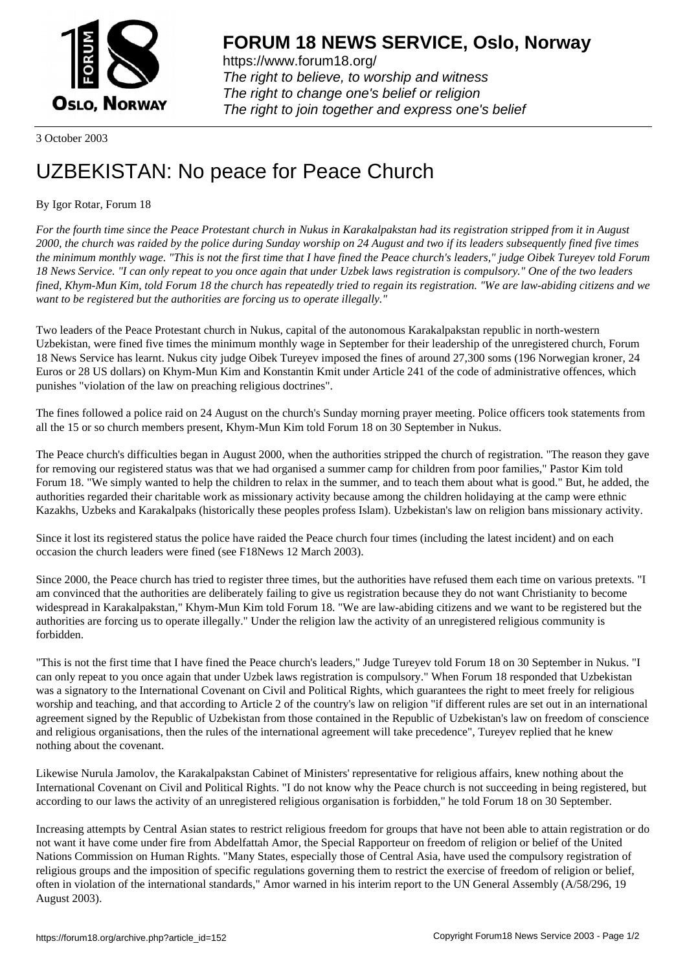

https://www.forum18.org/ The right to believe, to worship and witness The right to change one's belief or religion [The right to join together a](https://www.forum18.org/)nd express one's belief

3 October 2003

## [UZBEKISTAN:](https://www.forum18.org) No peace for Peace Church

## By Igor Rotar, Forum 18

*For the fourth time since the Peace Protestant church in Nukus in Karakalpakstan had its registration stripped from it in August 2000, the church was raided by the police during Sunday worship on 24 August and two if its leaders subsequently fined five times the minimum monthly wage. "This is not the first time that I have fined the Peace church's leaders," judge Oibek Tureyev told Forum 18 News Service. "I can only repeat to you once again that under Uzbek laws registration is compulsory." One of the two leaders fined, Khym-Mun Kim, told Forum 18 the church has repeatedly tried to regain its registration. "We are law-abiding citizens and we want to be registered but the authorities are forcing us to operate illegally."*

Two leaders of the Peace Protestant church in Nukus, capital of the autonomous Karakalpakstan republic in north-western Uzbekistan, were fined five times the minimum monthly wage in September for their leadership of the unregistered church, Forum 18 News Service has learnt. Nukus city judge Oibek Tureyev imposed the fines of around 27,300 soms (196 Norwegian kroner, 24 Euros or 28 US dollars) on Khym-Mun Kim and Konstantin Kmit under Article 241 of the code of administrative offences, which punishes "violation of the law on preaching religious doctrines".

The fines followed a police raid on 24 August on the church's Sunday morning prayer meeting. Police officers took statements from all the 15 or so church members present, Khym-Mun Kim told Forum 18 on 30 September in Nukus.

The Peace church's difficulties began in August 2000, when the authorities stripped the church of registration. "The reason they gave for removing our registered status was that we had organised a summer camp for children from poor families," Pastor Kim told Forum 18. "We simply wanted to help the children to relax in the summer, and to teach them about what is good." But, he added, the authorities regarded their charitable work as missionary activity because among the children holidaying at the camp were ethnic Kazakhs, Uzbeks and Karakalpaks (historically these peoples profess Islam). Uzbekistan's law on religion bans missionary activity.

Since it lost its registered status the police have raided the Peace church four times (including the latest incident) and on each occasion the church leaders were fined (see F18News 12 March 2003).

Since 2000, the Peace church has tried to register three times, but the authorities have refused them each time on various pretexts. "I am convinced that the authorities are deliberately failing to give us registration because they do not want Christianity to become widespread in Karakalpakstan," Khym-Mun Kim told Forum 18. "We are law-abiding citizens and we want to be registered but the authorities are forcing us to operate illegally." Under the religion law the activity of an unregistered religious community is forbidden.

"This is not the first time that I have fined the Peace church's leaders," Judge Tureyev told Forum 18 on 30 September in Nukus. "I can only repeat to you once again that under Uzbek laws registration is compulsory." When Forum 18 responded that Uzbekistan was a signatory to the International Covenant on Civil and Political Rights, which guarantees the right to meet freely for religious worship and teaching, and that according to Article 2 of the country's law on religion "if different rules are set out in an international agreement signed by the Republic of Uzbekistan from those contained in the Republic of Uzbekistan's law on freedom of conscience and religious organisations, then the rules of the international agreement will take precedence", Tureyev replied that he knew nothing about the covenant.

Likewise Nurula Jamolov, the Karakalpakstan Cabinet of Ministers' representative for religious affairs, knew nothing about the International Covenant on Civil and Political Rights. "I do not know why the Peace church is not succeeding in being registered, but according to our laws the activity of an unregistered religious organisation is forbidden," he told Forum 18 on 30 September.

Increasing attempts by Central Asian states to restrict religious freedom for groups that have not been able to attain registration or do not want it have come under fire from Abdelfattah Amor, the Special Rapporteur on freedom of religion or belief of the United Nations Commission on Human Rights. "Many States, especially those of Central Asia, have used the compulsory registration of religious groups and the imposition of specific regulations governing them to restrict the exercise of freedom of religion or belief, often in violation of the international standards," Amor warned in his interim report to the UN General Assembly (A/58/296, 19 August 2003).